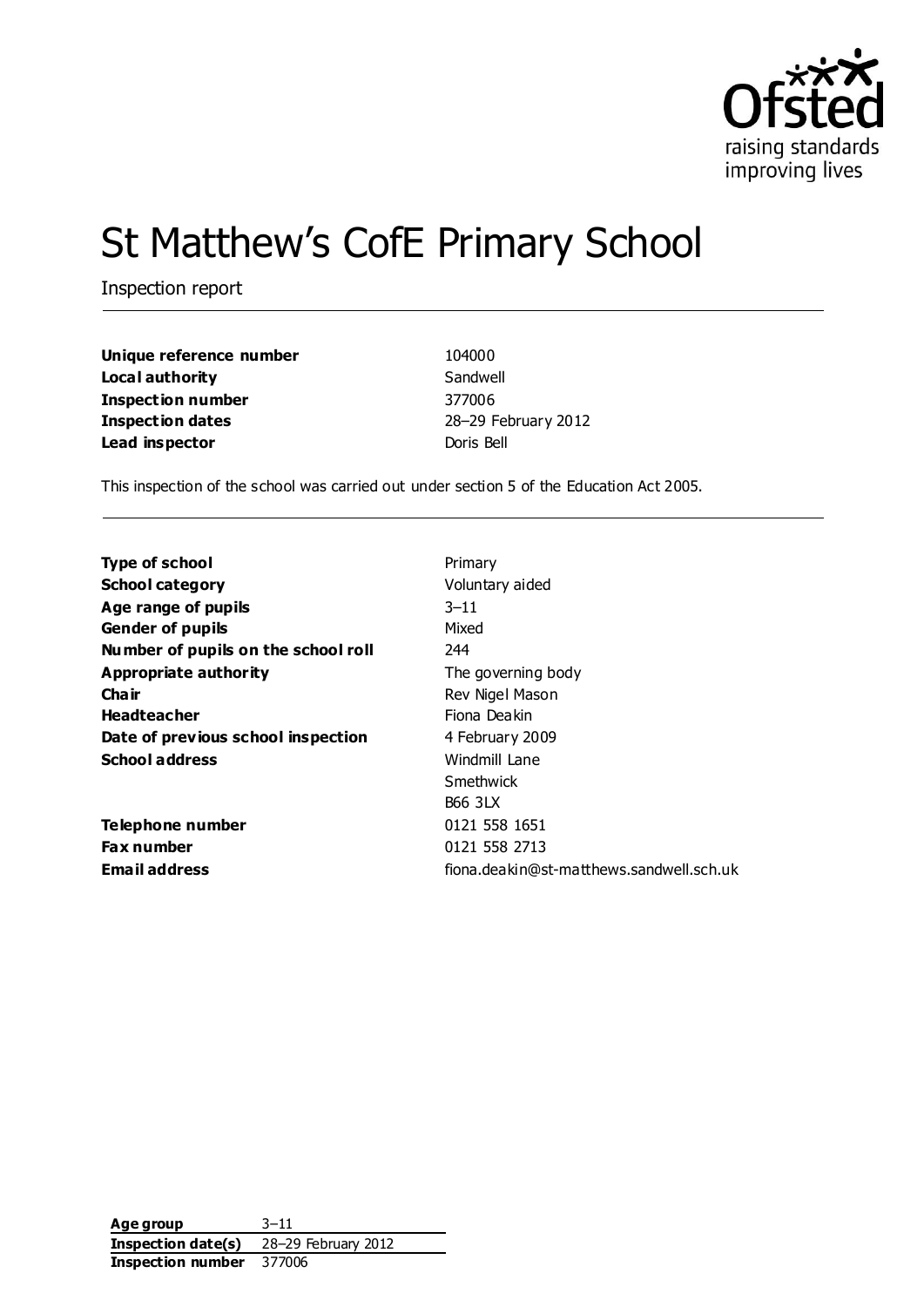

# St Matthew's CofE Primary School

Inspection report

| Unique reference number  | 104000     |
|--------------------------|------------|
| Local authority          | Sandwell   |
| <b>Inspection number</b> | 377006     |
| <b>Inspection dates</b>  | 28-29 Fel  |
| Lead inspector           | Doris Bell |

**104000** Sandwell **Inspection number** 377006 **Inspection dates** 28–29 February 2012

This inspection of the school was carried out under section 5 of the Education Act 2005.

| <b>Type of school</b>               | Primary                                  |
|-------------------------------------|------------------------------------------|
| <b>School category</b>              | Voluntary aided                          |
| Age range of pupils                 | $3 - 11$                                 |
| <b>Gender of pupils</b>             | Mixed                                    |
| Number of pupils on the school roll | 244                                      |
| Appropriate authority               | The governing body                       |
| Cha ir                              | Rev Nigel Mason                          |
| <b>Headteacher</b>                  | Fiona Deakin                             |
| Date of previous school inspection  | 4 February 2009                          |
| <b>School address</b>               | Windmill Lane                            |
|                                     | Smethwick                                |
|                                     | <b>B66 3LX</b>                           |
| Telephone number                    | 0121 558 1651                            |
| <b>Fax number</b>                   | 0121 558 2713                            |
| <b>Email address</b>                | fiona.deakin@st-matthews.sandwell.sch.uk |

**Age group** 3–11 **Inspection date(s)** 28–29 February 2012 **Inspection number** 377006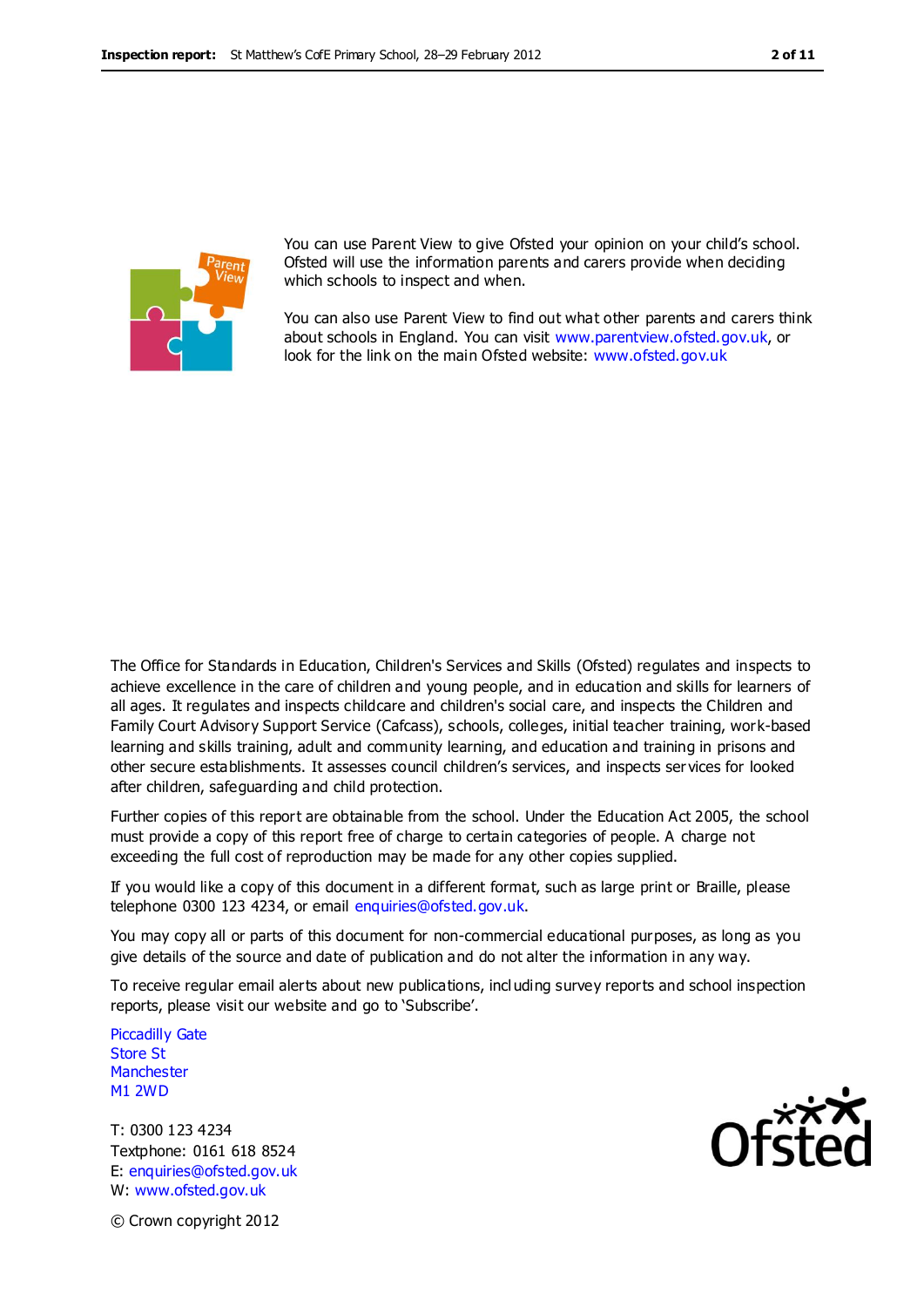

You can use Parent View to give Ofsted your opinion on your child's school. Ofsted will use the information parents and carers provide when deciding which schools to inspect and when.

You can also use Parent View to find out what other parents and carers think about schools in England. You can visit [www.parentview.ofsted.gov.uk,](http://www.parentview.ofsted.gov.uk/) or look for the link on the main Ofsted website: [www.ofsted.gov.uk](http://www.ofsted.gov.uk/)

The Office for Standards in Education, Children's Services and Skills (Ofsted) regulates and inspects to achieve excellence in the care of children and young people, and in education and skills for learners of all ages. It regulates and inspects childcare and children's social care, and inspects the Children and Family Court Advisory Support Service (Cafcass), schools, colleges, initial teacher training, work-based learning and skills training, adult and community learning, and education and training in prisons and other secure establishments. It assesses council children's services, and inspects ser vices for looked after children, safeguarding and child protection.

Further copies of this report are obtainable from the school. Under the Education Act 2005, the school must provide a copy of this report free of charge to certain categories of people. A charge not exceeding the full cost of reproduction may be made for any other copies supplied.

If you would like a copy of this document in a different format, such as large print or Braille, please telephone 0300 123 4234, or email enquiries@ofsted.gov.uk.

You may copy all or parts of this document for non-commercial educational purposes, as long as you give details of the source and date of publication and do not alter the information in any way.

To receive regular email alerts about new publications, incl uding survey reports and school inspection reports, please visit our website and go to 'Subscribe'.

Piccadilly Gate Store St **Manchester** M1 2WD

T: 0300 123 4234 Textphone: 0161 618 8524 E: enquiries@ofsted.gov.uk W: www.ofsted.gov.uk



© Crown copyright 2012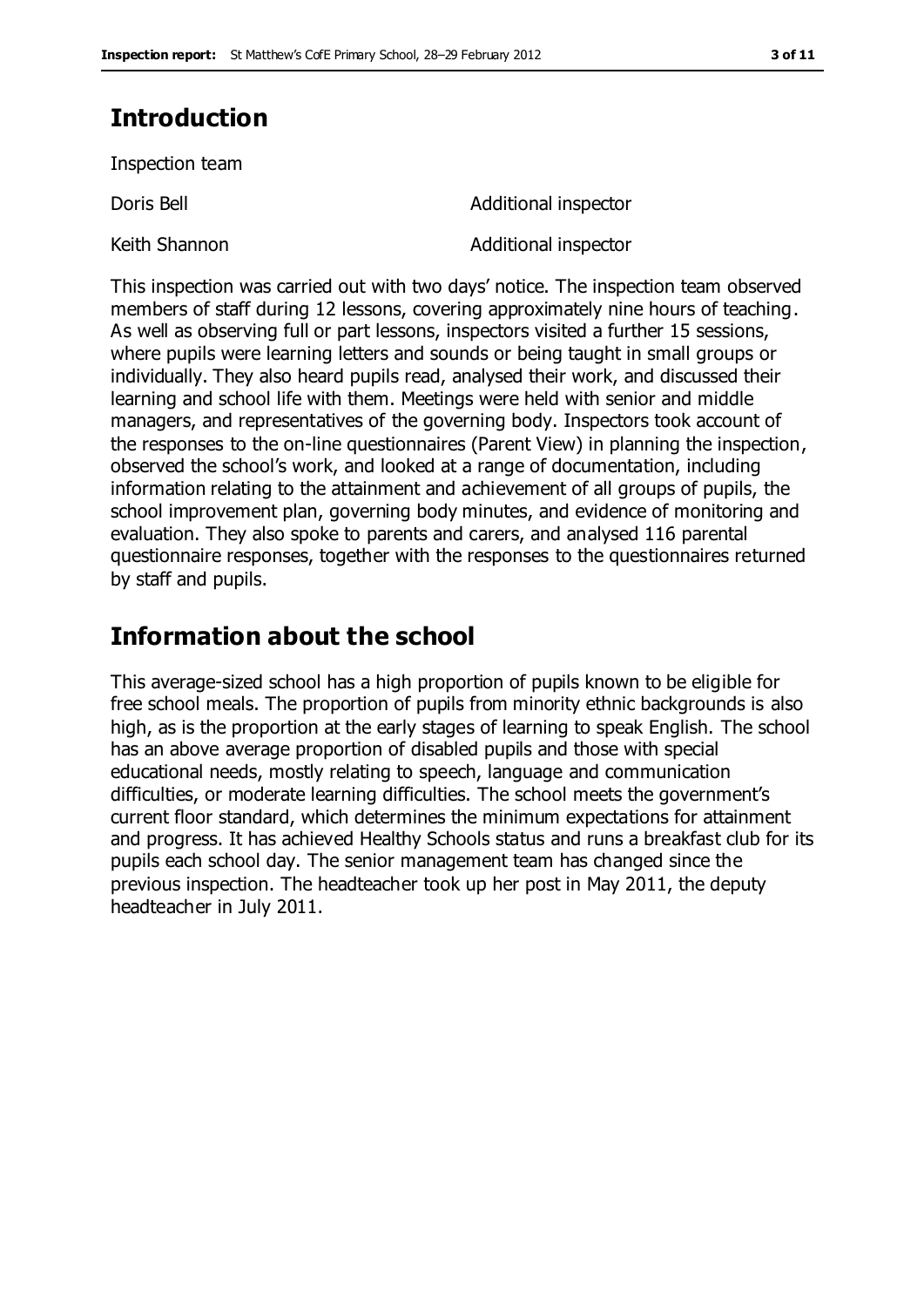# **Introduction**

Inspection team

Doris Bell **Doris Bell Additional inspector** Keith Shannon **Additional inspector** 

This inspection was carried out with two days' notice. The inspection team observed members of staff during 12 lessons, covering approximately nine hours of teaching. As well as observing full or part lessons, inspectors visited a further 15 sessions, where pupils were learning letters and sounds or being taught in small groups or individually. They also heard pupils read, analysed their work, and discussed their learning and school life with them. Meetings were held with senior and middle managers, and representatives of the governing body. Inspectors took account of the responses to the on-line questionnaires (Parent View) in planning the inspection, observed the school's work, and looked at a range of documentation, including information relating to the attainment and achievement of all groups of pupils, the school improvement plan, governing body minutes, and evidence of monitoring and evaluation. They also spoke to parents and carers, and analysed 116 parental questionnaire responses, together with the responses to the questionnaires returned by staff and pupils.

## **Information about the school**

This average-sized school has a high proportion of pupils known to be eligible for free school meals. The proportion of pupils from minority ethnic backgrounds is also high, as is the proportion at the early stages of learning to speak English. The school has an above average proportion of disabled pupils and those with special educational needs, mostly relating to speech, language and communication difficulties, or moderate learning difficulties. The school meets the government's current floor standard, which determines the minimum expectations for attainment and progress. It has achieved Healthy Schools status and runs a breakfast club for its pupils each school day. The senior management team has changed since the previous inspection. The headteacher took up her post in May 2011, the deputy headteacher in July 2011.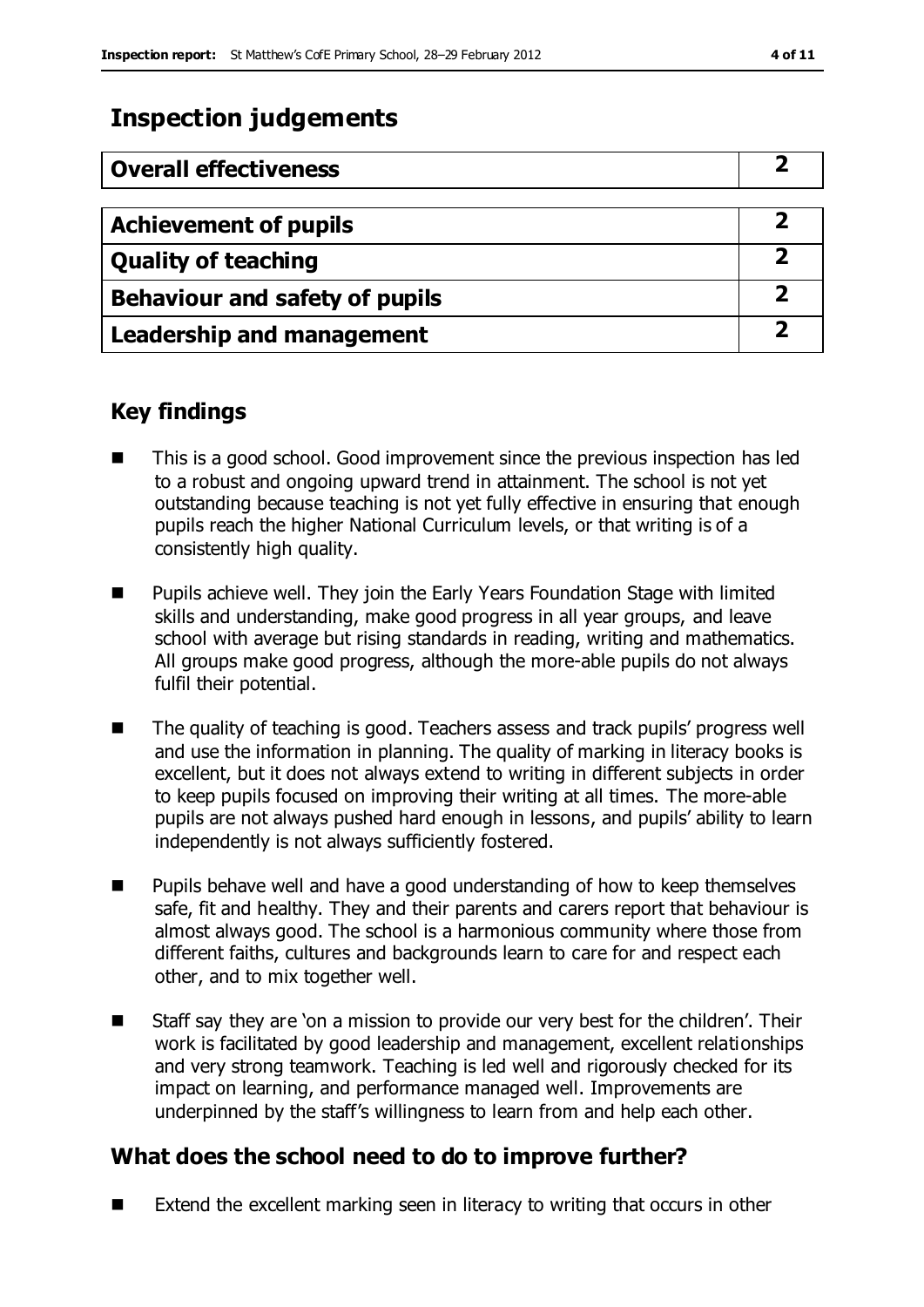# **Inspection judgements**

| <b>Overall effectiveness</b>     |  |
|----------------------------------|--|
|                                  |  |
| <b>Achievement of pupils</b>     |  |
| <b>Quality of teaching</b>       |  |
| Behaviour and safety of pupils   |  |
| <b>Leadership and management</b> |  |

### **Key findings**

- This is a good school. Good improvement since the previous inspection has led to a robust and ongoing upward trend in attainment. The school is not yet outstanding because teaching is not yet fully effective in ensuring that enough pupils reach the higher National Curriculum levels, or that writing is of a consistently high quality.
- **Pupils achieve well. They join the Early Years Foundation Stage with limited** skills and understanding, make good progress in all year groups, and leave school with average but rising standards in reading, writing and mathematics. All groups make good progress, although the more-able pupils do not always fulfil their potential.
- The quality of teaching is good. Teachers assess and track pupils' progress well and use the information in planning. The quality of marking in literacy books is excellent, but it does not always extend to writing in different subjects in order to keep pupils focused on improving their writing at all times. The more-able pupils are not always pushed hard enough in lessons, and pupils' ability to learn independently is not always sufficiently fostered.
- Pupils behave well and have a good understanding of how to keep themselves safe, fit and healthy. They and their parents and carers report that behaviour is almost always good. The school is a harmonious community where those from different faiths, cultures and backgrounds learn to care for and respect each other, and to mix together well.
- Staff say they are 'on a mission to provide our very best for the children'. Their work is facilitated by good leadership and management, excellent relationships and very strong teamwork. Teaching is led well and rigorously checked for its impact on learning, and performance managed well. Improvements are underpinned by the staff's willingness to learn from and help each other.

### **What does the school need to do to improve further?**

 $\blacksquare$  Extend the excellent marking seen in literacy to writing that occurs in other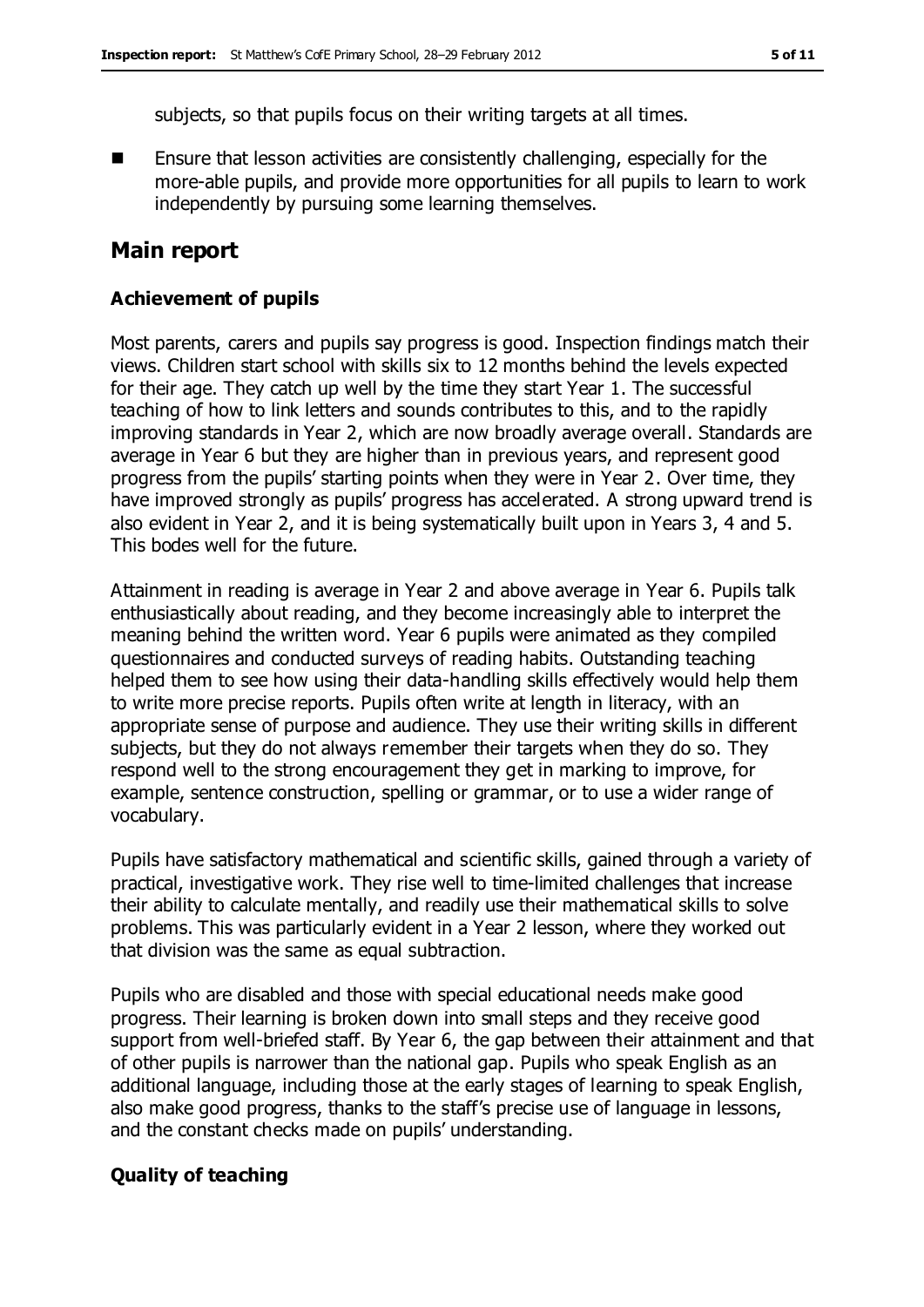subjects, so that pupils focus on their writing targets at all times.

 Ensure that lesson activities are consistently challenging, especially for the more-able pupils, and provide more opportunities for all pupils to learn to work independently by pursuing some learning themselves.

### **Main report**

#### **Achievement of pupils**

Most parents, carers and pupils say progress is good. Inspection findings match their views. Children start school with skills six to 12 months behind the levels expected for their age. They catch up well by the time they start Year 1. The successful teaching of how to link letters and sounds contributes to this, and to the rapidly improving standards in Year 2, which are now broadly average overall. Standards are average in Year 6 but they are higher than in previous years, and represent good progress from the pupils' starting points when they were in Year 2. Over time, they have improved strongly as pupils' progress has accelerated. A strong upward trend is also evident in Year 2, and it is being systematically built upon in Years 3, 4 and 5. This bodes well for the future.

Attainment in reading is average in Year 2 and above average in Year 6. Pupils talk enthusiastically about reading, and they become increasingly able to interpret the meaning behind the written word. Year 6 pupils were animated as they compiled questionnaires and conducted surveys of reading habits. Outstanding teaching helped them to see how using their data-handling skills effectively would help them to write more precise reports. Pupils often write at length in literacy, with an appropriate sense of purpose and audience. They use their writing skills in different subjects, but they do not always remember their targets when they do so. They respond well to the strong encouragement they get in marking to improve, for example, sentence construction, spelling or grammar, or to use a wider range of vocabulary.

Pupils have satisfactory mathematical and scientific skills, gained through a variety of practical, investigative work. They rise well to time-limited challenges that increase their ability to calculate mentally, and readily use their mathematical skills to solve problems. This was particularly evident in a Year 2 lesson, where they worked out that division was the same as equal subtraction.

Pupils who are disabled and those with special educational needs make good progress. Their learning is broken down into small steps and they receive good support from well-briefed staff. By Year 6, the gap between their attainment and that of other pupils is narrower than the national gap. Pupils who speak English as an additional language, including those at the early stages of learning to speak English, also make good progress, thanks to the staff's precise use of language in lessons, and the constant checks made on pupils' understanding.

#### **Quality of teaching**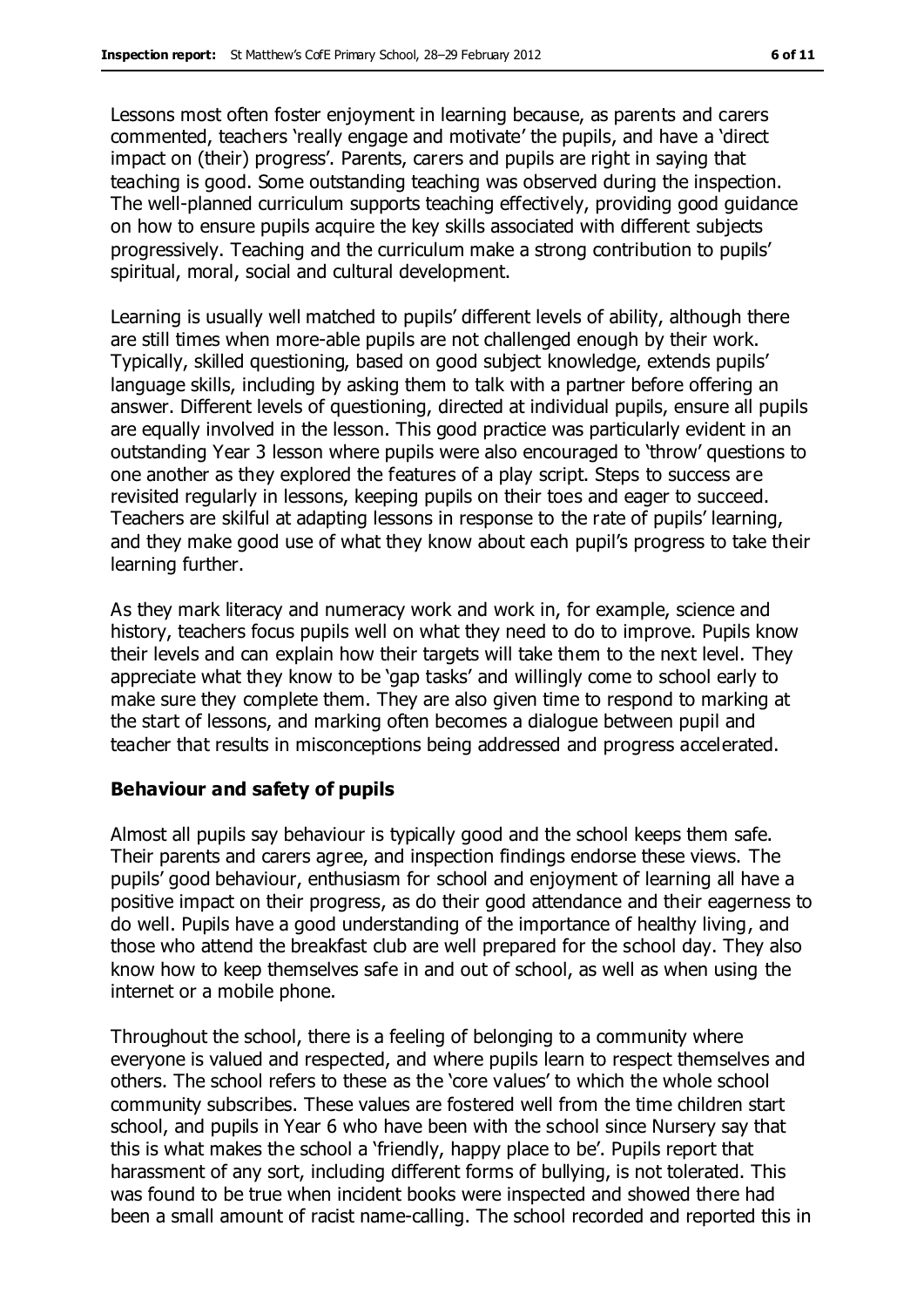Lessons most often foster enjoyment in learning because, as parents and carers commented, teachers 'really engage and motivate' the pupils, and have a 'direct impact on (their) progress'. Parents, carers and pupils are right in saying that teaching is good. Some outstanding teaching was observed during the inspection. The well-planned curriculum supports teaching effectively, providing good guidance on how to ensure pupils acquire the key skills associated with different subjects progressively. Teaching and the curriculum make a strong contribution to pupils' spiritual, moral, social and cultural development.

Learning is usually well matched to pupils' different levels of ability, although there are still times when more-able pupils are not challenged enough by their work. Typically, skilled questioning, based on good subject knowledge, extends pupils' language skills, including by asking them to talk with a partner before offering an answer. Different levels of questioning, directed at individual pupils, ensure all pupils are equally involved in the lesson. This good practice was particularly evident in an outstanding Year 3 lesson where pupils were also encouraged to 'throw' questions to one another as they explored the features of a play script. Steps to success are revisited regularly in lessons, keeping pupils on their toes and eager to succeed. Teachers are skilful at adapting lessons in response to the rate of pupils' learning, and they make good use of what they know about each pupil's progress to take their learning further.

As they mark literacy and numeracy work and work in, for example, science and history, teachers focus pupils well on what they need to do to improve. Pupils know their levels and can explain how their targets will take them to the next level. They appreciate what they know to be 'gap tasks' and willingly come to school early to make sure they complete them. They are also given time to respond to marking at the start of lessons, and marking often becomes a dialogue between pupil and teacher that results in misconceptions being addressed and progress accelerated.

#### **Behaviour and safety of pupils**

Almost all pupils say behaviour is typically good and the school keeps them safe. Their parents and carers agree, and inspection findings endorse these views. The pupils' good behaviour, enthusiasm for school and enjoyment of learning all have a positive impact on their progress, as do their good attendance and their eagerness to do well. Pupils have a good understanding of the importance of healthy living, and those who attend the breakfast club are well prepared for the school day. They also know how to keep themselves safe in and out of school, as well as when using the internet or a mobile phone.

Throughout the school, there is a feeling of belonging to a community where everyone is valued and respected, and where pupils learn to respect themselves and others. The school refers to these as the 'core values' to which the whole school community subscribes. These values are fostered well from the time children start school, and pupils in Year 6 who have been with the school since Nursery say that this is what makes the school a 'friendly, happy place to be'. Pupils report that harassment of any sort, including different forms of bullying, is not tolerated. This was found to be true when incident books were inspected and showed there had been a small amount of racist name-calling. The school recorded and reported this in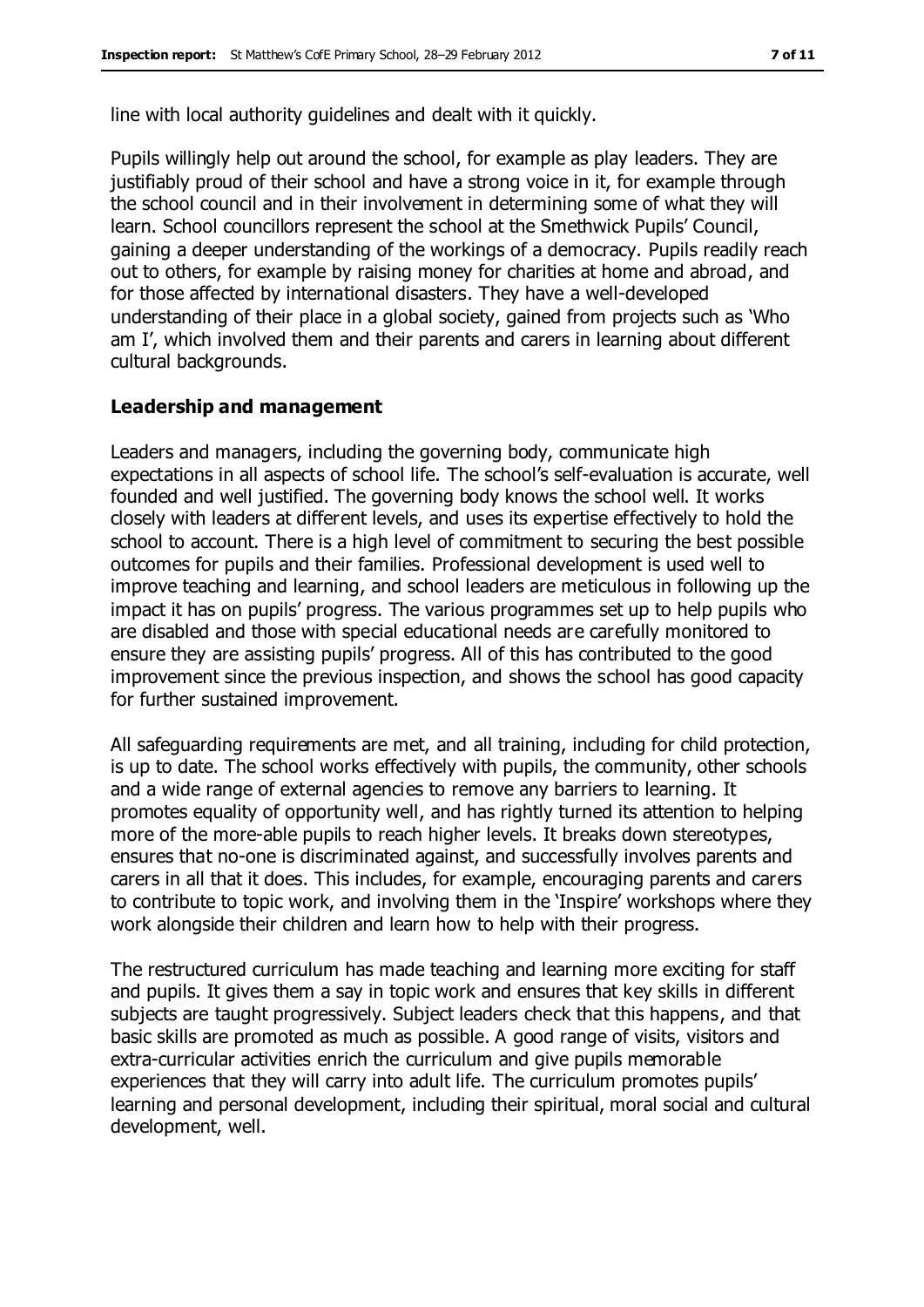line with local authority guidelines and dealt with it quickly.

Pupils willingly help out around the school, for example as play leaders. They are justifiably proud of their school and have a strong voice in it, for example through the school council and in their involvement in determining some of what they will learn. School councillors represent the school at the Smethwick Pupils' Council, gaining a deeper understanding of the workings of a democracy. Pupils readily reach out to others, for example by raising money for charities at home and abroad, and for those affected by international disasters. They have a well-developed understanding of their place in a global society, gained from projects such as 'Who am I', which involved them and their parents and carers in learning about different cultural backgrounds.

#### **Leadership and management**

Leaders and managers, including the governing body, communicate high expectations in all aspects of school life. The school's self-evaluation is accurate, well founded and well justified. The governing body knows the school well. It works closely with leaders at different levels, and uses its expertise effectively to hold the school to account. There is a high level of commitment to securing the best possible outcomes for pupils and their families. Professional development is used well to improve teaching and learning, and school leaders are meticulous in following up the impact it has on pupils' progress. The various programmes set up to help pupils who are disabled and those with special educational needs are carefully monitored to ensure they are assisting pupils' progress. All of this has contributed to the good improvement since the previous inspection, and shows the school has good capacity for further sustained improvement.

All safeguarding requirements are met, and all training, including for child protection, is up to date. The school works effectively with pupils, the community, other schools and a wide range of external agencies to remove any barriers to learning. It promotes equality of opportunity well, and has rightly turned its attention to helping more of the more-able pupils to reach higher levels. It breaks down stereotypes, ensures that no-one is discriminated against, and successfully involves parents and carers in all that it does. This includes, for example, encouraging parents and carers to contribute to topic work, and involving them in the 'Inspire' workshops where they work alongside their children and learn how to help with their progress.

The restructured curriculum has made teaching and learning more exciting for staff and pupils. It gives them a say in topic work and ensures that key skills in different subjects are taught progressively. Subject leaders check that this happens, and that basic skills are promoted as much as possible. A good range of visits, visitors and extra-curricular activities enrich the curriculum and give pupils memorable experiences that they will carry into adult life. The curriculum promotes pupils' learning and personal development, including their spiritual, moral social and cultural development, well.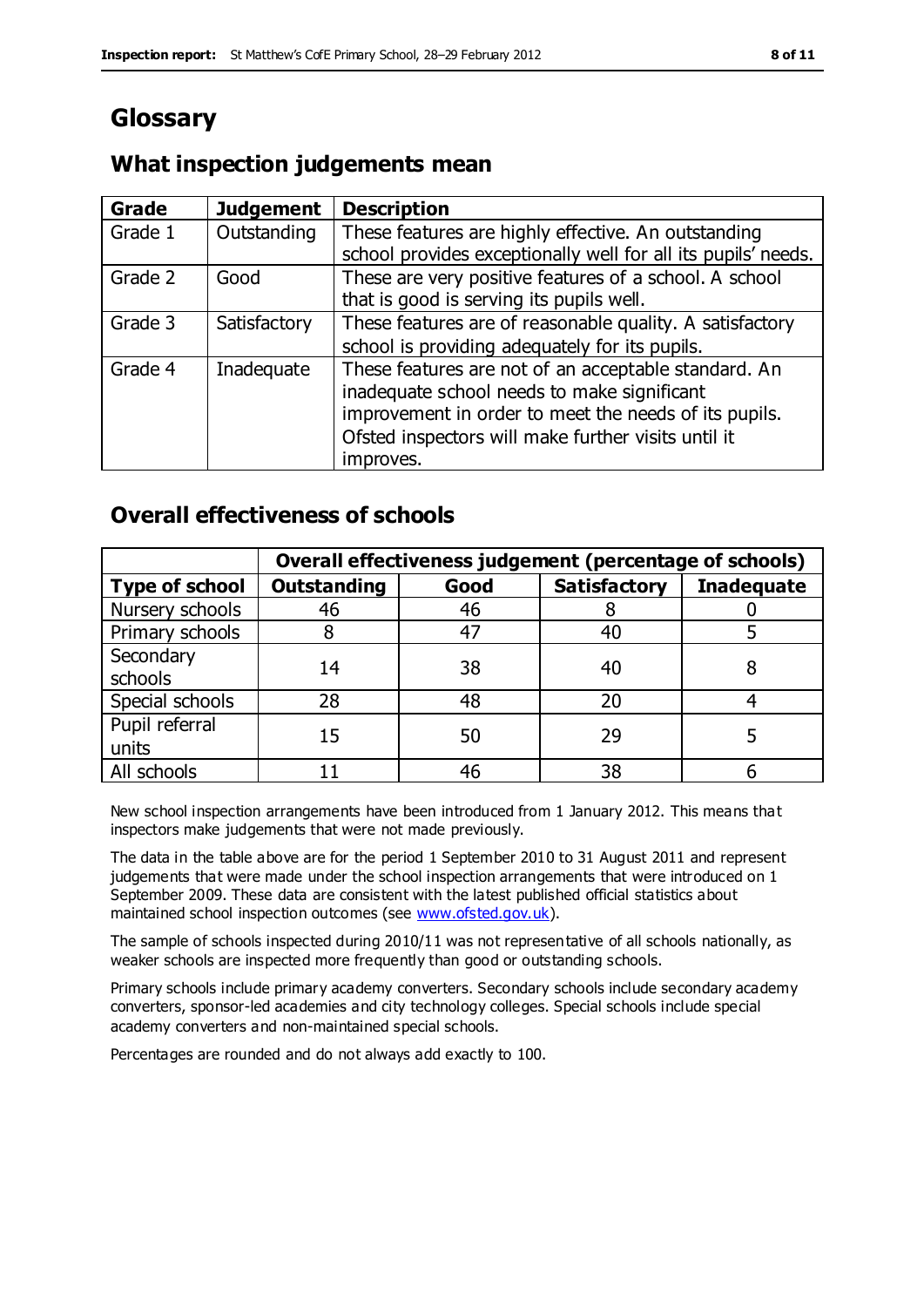# **Glossary**

### **What inspection judgements mean**

| Grade   | <b>Judgement</b> | <b>Description</b>                                                                                                                                                                                                               |
|---------|------------------|----------------------------------------------------------------------------------------------------------------------------------------------------------------------------------------------------------------------------------|
| Grade 1 | Outstanding      | These features are highly effective. An outstanding<br>school provides exceptionally well for all its pupils' needs.                                                                                                             |
| Grade 2 | Good             | These are very positive features of a school. A school<br>that is good is serving its pupils well.                                                                                                                               |
| Grade 3 | Satisfactory     | These features are of reasonable quality. A satisfactory<br>school is providing adequately for its pupils.                                                                                                                       |
| Grade 4 | Inadequate       | These features are not of an acceptable standard. An<br>inadequate school needs to make significant<br>improvement in order to meet the needs of its pupils.<br>Ofsted inspectors will make further visits until it<br>improves. |

### **Overall effectiveness of schools**

|                         | Overall effectiveness judgement (percentage of schools) |      |                     |                   |
|-------------------------|---------------------------------------------------------|------|---------------------|-------------------|
| <b>Type of school</b>   | <b>Outstanding</b>                                      | Good | <b>Satisfactory</b> | <b>Inadequate</b> |
| Nursery schools         | 46                                                      | 46   |                     |                   |
| Primary schools         |                                                         | 47   | 40                  |                   |
| Secondary<br>schools    | 14                                                      | 38   | 40                  |                   |
| Special schools         | 28                                                      | 48   | 20                  |                   |
| Pupil referral<br>units | 15                                                      | 50   | 29                  |                   |
| All schools             |                                                         | 46   | 38                  |                   |

New school inspection arrangements have been introduced from 1 January 2012. This means that inspectors make judgements that were not made previously.

The data in the table above are for the period 1 September 2010 to 31 August 2011 and represent judgements that were made under the school inspection arrangements that were introduced on 1 September 2009. These data are consistent with the latest published official statistics about maintained school inspection outcomes (see [www.ofsted.gov.uk\)](http://www.ofsted.gov.uk/).

The sample of schools inspected during 2010/11 was not representative of all schools nationally, as weaker schools are inspected more frequently than good or outstanding schools.

Primary schools include primary academy converters. Secondary schools include secondary academy converters, sponsor-led academies and city technology colleges. Special schools include special academy converters and non-maintained special schools.

Percentages are rounded and do not always add exactly to 100.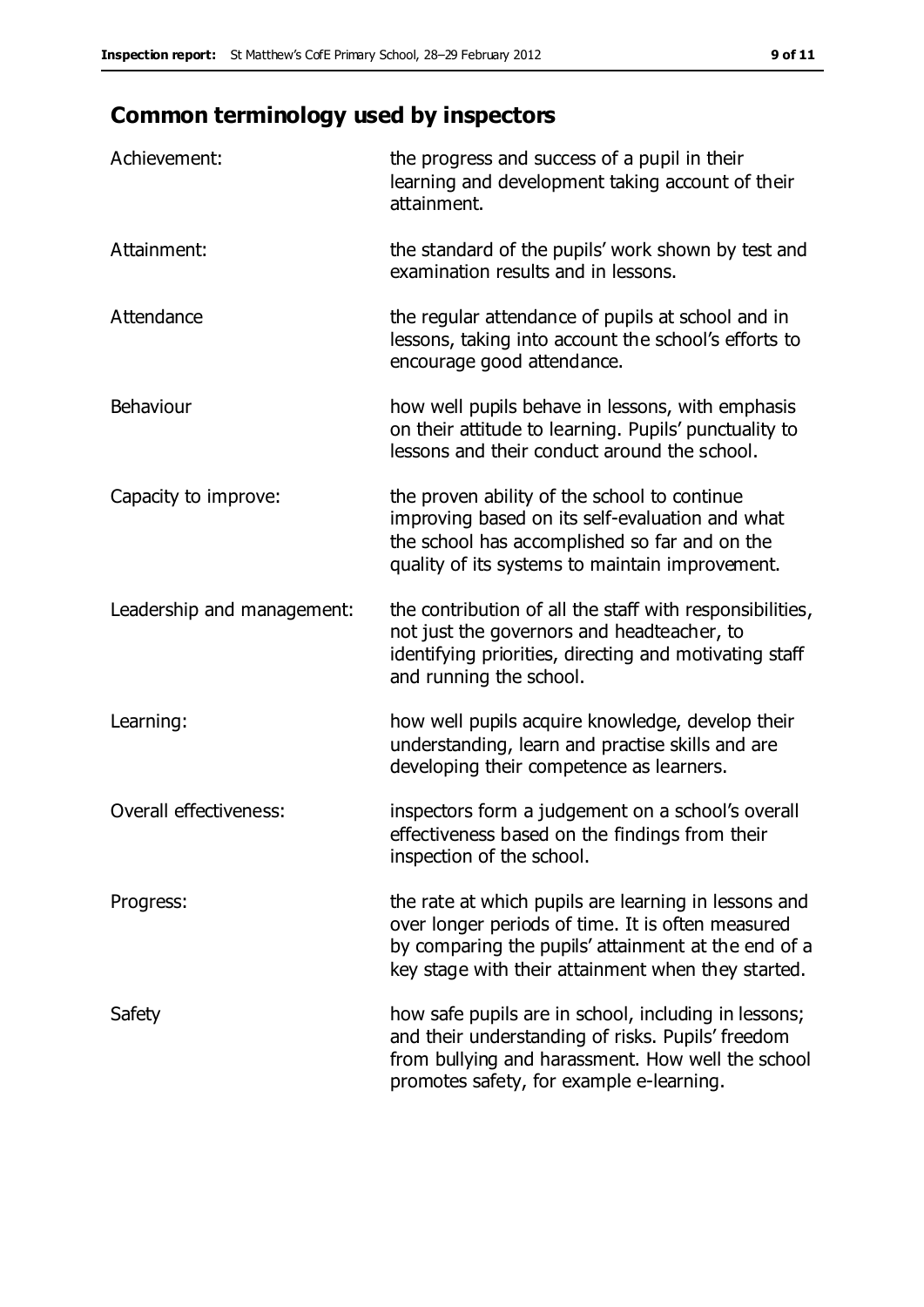# **Common terminology used by inspectors**

| Achievement:                  | the progress and success of a pupil in their<br>learning and development taking account of their<br>attainment.                                                                                                        |
|-------------------------------|------------------------------------------------------------------------------------------------------------------------------------------------------------------------------------------------------------------------|
| Attainment:                   | the standard of the pupils' work shown by test and<br>examination results and in lessons.                                                                                                                              |
| Attendance                    | the regular attendance of pupils at school and in<br>lessons, taking into account the school's efforts to<br>encourage good attendance.                                                                                |
| Behaviour                     | how well pupils behave in lessons, with emphasis<br>on their attitude to learning. Pupils' punctuality to<br>lessons and their conduct around the school.                                                              |
| Capacity to improve:          | the proven ability of the school to continue<br>improving based on its self-evaluation and what<br>the school has accomplished so far and on the<br>quality of its systems to maintain improvement.                    |
| Leadership and management:    | the contribution of all the staff with responsibilities,<br>not just the governors and headteacher, to<br>identifying priorities, directing and motivating staff<br>and running the school.                            |
| Learning:                     | how well pupils acquire knowledge, develop their<br>understanding, learn and practise skills and are<br>developing their competence as learners.                                                                       |
| <b>Overall effectiveness:</b> | inspectors form a judgement on a school's overall<br>effectiveness based on the findings from their<br>inspection of the school.                                                                                       |
| Progress:                     | the rate at which pupils are learning in lessons and<br>over longer periods of time. It is often measured<br>by comparing the pupils' attainment at the end of a<br>key stage with their attainment when they started. |
| Safety                        | how safe pupils are in school, including in lessons;<br>and their understanding of risks. Pupils' freedom<br>from bullying and harassment. How well the school<br>promotes safety, for example e-learning.             |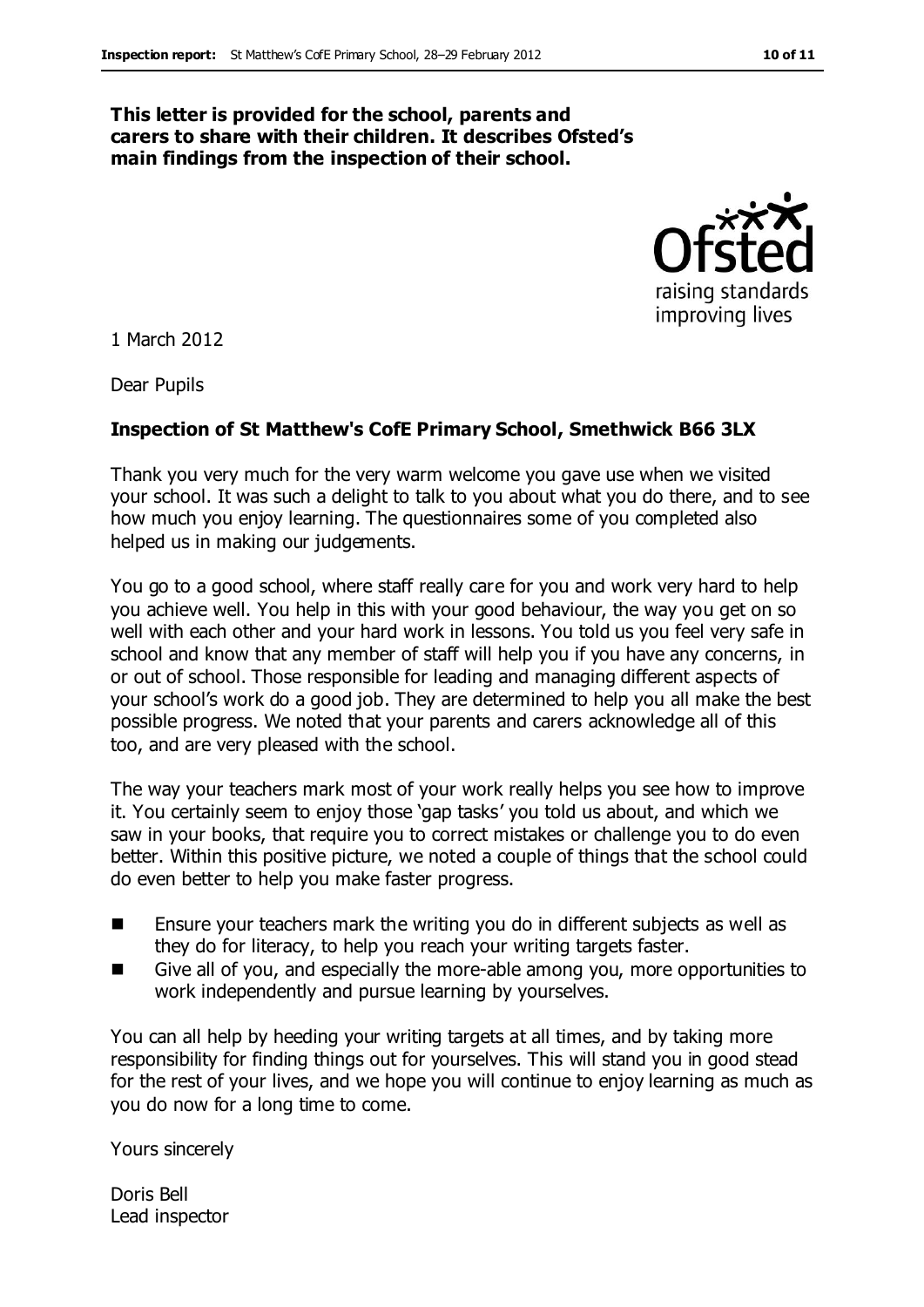#### **This letter is provided for the school, parents and carers to share with their children. It describes Ofsted's main findings from the inspection of their school.**



1 March 2012

Dear Pupils

#### **Inspection of St Matthew's CofE Primary School, Smethwick B66 3LX**

Thank you very much for the very warm welcome you gave use when we visited your school. It was such a delight to talk to you about what you do there, and to see how much you enjoy learning. The questionnaires some of you completed also helped us in making our judgements.

You go to a good school, where staff really care for you and work very hard to help you achieve well. You help in this with your good behaviour, the way you get on so well with each other and your hard work in lessons. You told us you feel very safe in school and know that any member of staff will help you if you have any concerns, in or out of school. Those responsible for leading and managing different aspects of your school's work do a good job. They are determined to help you all make the best possible progress. We noted that your parents and carers acknowledge all of this too, and are very pleased with the school.

The way your teachers mark most of your work really helps you see how to improve it. You certainly seem to enjoy those 'gap tasks' you told us about, and which we saw in your books, that require you to correct mistakes or challenge you to do even better. Within this positive picture, we noted a couple of things that the school could do even better to help you make faster progress.

- Ensure your teachers mark the writing you do in different subjects as well as they do for literacy, to help you reach your writing targets faster.
- Give all of you, and especially the more-able among you, more opportunities to work independently and pursue learning by yourselves.

You can all help by heeding your writing targets at all times, and by taking more responsibility for finding things out for yourselves. This will stand you in good stead for the rest of your lives, and we hope you will continue to enjoy learning as much as you do now for a long time to come.

Yours sincerely

Doris Bell Lead inspector